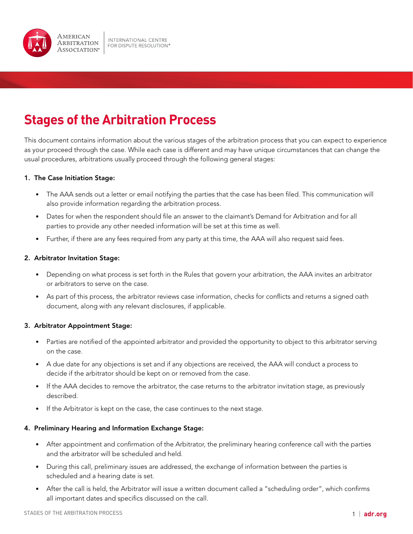

# **Stages of the Arbitration Process**

This document contains information about the various stages of the arbitration process that you can expect to experience as your proceed through the case. While each case is different and may have unique circumstances that can change the usual procedures, arbitrations usually proceed through the following general stages:

# 1. The Case Initiation Stage:

- The AAA sends out a letter or email notifying the parties that the case has been filed. This communication will also provide information regarding the arbitration process.
- Dates for when the respondent should file an answer to the claimant's Demand for Arbitration and for all parties to provide any other needed information will be set at this time as well.
- Further, if there are any fees required from any party at this time, the AAA will also request said fees.

## 2. Arbitrator Invitation Stage:

- Depending on what process is set forth in the Rules that govern your arbitration, the AAA invites an arbitrator or arbitrators to serve on the case.
- As part of this process, the arbitrator reviews case information, checks for conflicts and returns a signed oath document, along with any relevant disclosures, if applicable.

#### 3. Arbitrator Appointment Stage:

- Parties are notified of the appointed arbitrator and provided the opportunity to object to this arbitrator serving on the case.
- A due date for any objections is set and if any objections are received, the AAA will conduct a process to decide if the arbitrator should be kept on or removed from the case.
- If the AAA decides to remove the arbitrator, the case returns to the arbitrator invitation stage, as previously described.
- If the Arbitrator is kept on the case, the case continues to the next stage.

# 4. Preliminary Hearing and Information Exchange Stage:

- After appointment and confirmation of the Arbitrator, the preliminary hearing conference call with the parties and the arbitrator will be scheduled and held.
- During this call, preliminary issues are addressed, the exchange of information between the parties is scheduled and a hearing date is set.
- After the call is held, the Arbitrator will issue a written document called a "scheduling order", which confirms all important dates and specifics discussed on the call.